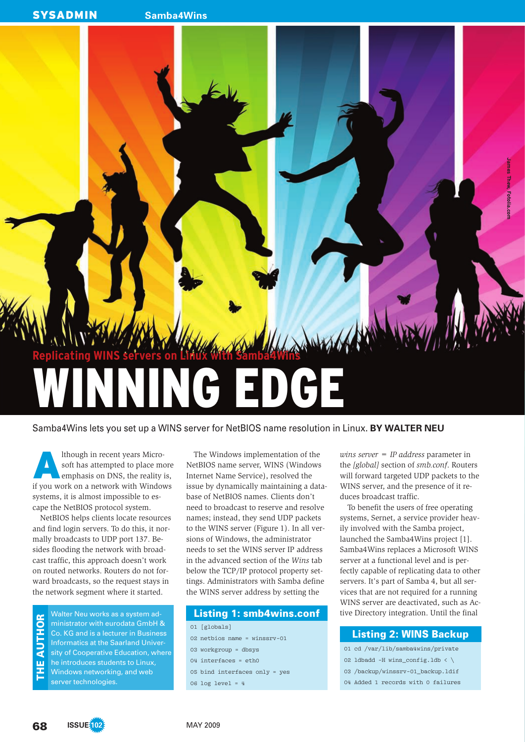**SYSADMIN** Samba4Wins



Samba4Wins lets you set up a WINS server for NetBIOS name resolution in Linux. **BY WALTER NEU**

It hough in recent years Microsoft has attempted to place more emphasis on DNS, the reality is, if you work on a network with Windows lthough in recent years Microsoft has attempted to place more emphasis on DNS, the reality is, systems, it is almost impossible to escape the NetBIOS protocol system.

NetBIOS helps clients locate resources and find login servers. To do this, it normally broadcasts to UDP port 137. Besides flooding the network with broadcast traffic, this approach doesn't work on routed networks. Routers do not forward broadcasts, so the request stays in the network segment where it started.

Walter Neu works as a system administrator with eurodata GmbH & Co. KG and is a lecturer in Business Informatics at the Saarland University of Cooperative Education, where he introduces students to Linux, Windows networking, and web server technologies. THE AUTHOR

The Windows implementation of the NetBIOS name server, WINS (Windows Internet Name Service), resolved the issue by dynamically maintaining a database of NetBIOS names. Clients don't need to broadcast to reserve and resolve names; instead, they send UDP packets to the WINS server (Figure 1). In all versions of Windows, the administrator needs to set the WINS server IP address in the advanced section of the *Wins* tab below the TCP/IP protocol property settings. Administrators with Samba define the WINS server address by setting the

#### Listing 1: smb4wins.conf

01 [globals] 02 netbios name = winssrv-01 03 workgroup = dbsys 04 interfaces = eth0 05 bind interfaces only = yes 06 log level = 4

*wins server = IP address* parameter in the *[global]* section of *smb.conf*. Routers will forward targeted UDP packets to the WINS server, and the presence of it reduces broadcast traffic.

To benefit the users of free operating systems, Sernet, a service provider heavily involved with the Samba project, launched the Samba4Wins project [1]. Samba4Wins replaces a Microsoft WINS server at a functional level and is perfectly capable of replicating data to other servers. It's part of Samba 4, but all services that are not required for a running WINS server are deactivated, such as Active Directory integration. Until the final

#### Listing 2: WINS Backup

- 01 cd /var/lib/samba4wins/private
- 02 ldbadd -H wins\_config.ldb < \
- 03 /backup/winssrv-01\_backup.ldif
- 04 Added 1 records with 0 failures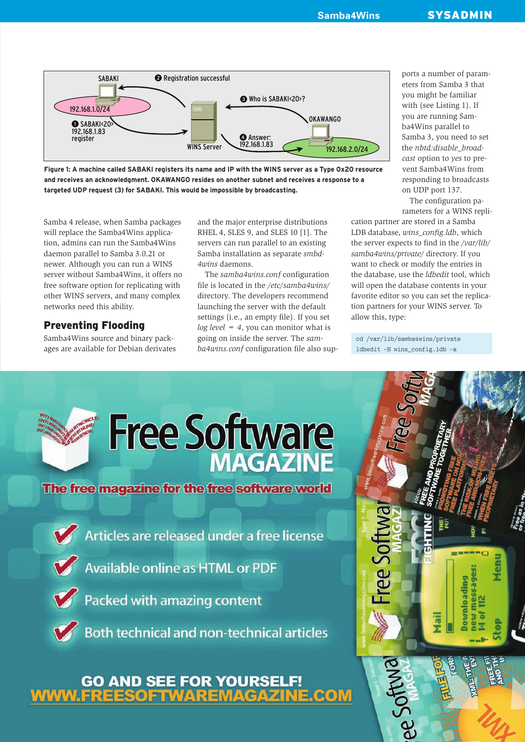

Figure 1: A machine called SABAKI registers its name and IP with the WINS server as a Type Ox20 resource and receives an acknowledgment. OKAWANGO resides on another subnet and receives a response to a targeted UDP request (3) for SABAKI. This would be impossible by broadcasting.

Samba 4 release, when Samba packages will replace the Samba4Wins application, admins can run the Samba4Wins daemon parallel to Samba 3.0.21 or newer. Although you can run a WINS server without Samba4Wins, it offers no free software option for replicating with other WINS servers, and many complex networks need this ability.

# **Preventing Flooding**

Samba4Wins source and binary packages are available for Debian derivates and the major enterprise distributions RHEL 4, SLES 9, and SLES 10 [1]. The servers can run parallel to an existing Samba installation as separate *smbd-4wins* daemons.

The *samba4wins.conf* configuration file is located in the */etc/samba4wins/* directory. The developers recommend launching the server with the default settings (i.e., an empty file). If you set *log level = 4*, you can monitor what is going on inside the server. The *samba4wins.conf* configuration file also supports a number of parameters from Samba 3 that you might be familiar with (see Listing 1). If you are running Samba4Wins parallel to Samba 3, you need to set the *nbtd:dis able\_broadcast* option to *yes* to prevent Samba4 Wins from responding to broadcasts on UDP port 137.

The configuration parameters for a WINS repli-

cation partner are stored in a Samba LDB database, *wins\_config.ldb*, which the server expects to find in the */var/lib/ samba4 wins/private/* directory. If you want to check or modify the entries in the database, use the *ldbedit* tool, which will open the database contents in your favorite editor so you can set the replication partners for your WINS server. To allow this, type:

cd /var/lib/samba4wins/private ldbedit -H wins config.ldb -a